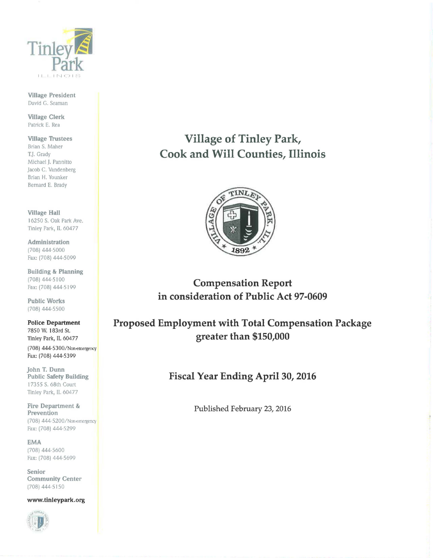

Village President David G. Seaman

Village Clerk Patrick E. Rea

Village Trustees Brian S. Maher T.]. Grady Michael J. Pannitto Jacob C. Vandenberg Brian H. Younker Bernard E. Brady

Village Hall 16250 S. Oak Park Ave. Tinley Park, IL 60477

Administration (708) 444-5000 Fax: (708) 444-5099

Building & Planning (708) 444-5100 Fax: (708) 444-5199

Public Works (708) 444-5500

Police Department 7850 W. I 83rd St. Tinley Park, IL 60477 (708) 444-5300/Non-emergency

Fax: [708) 444-5399

John T. Dunn Public Safety Building 1 7355 S. 68th Court Tinley Park, IL 60477

Fire Department & Prevention (708) 444-5200/ Non-emergency Fax: (708) 444-5299

EMA (708) 444-5600 Fax: (708) 444-5699

Senior Community Center (708) 444-5150

www.tinleypark.org



Village of Tinley Park, Cook and Will Counties, Illinois



Compensation Report in consideration of Public Act 97-0609

Proposed Employment with Total Compensation Package greater than \$150,000

Fiscal Year Ending April 30, 2016

Published February 23, 2016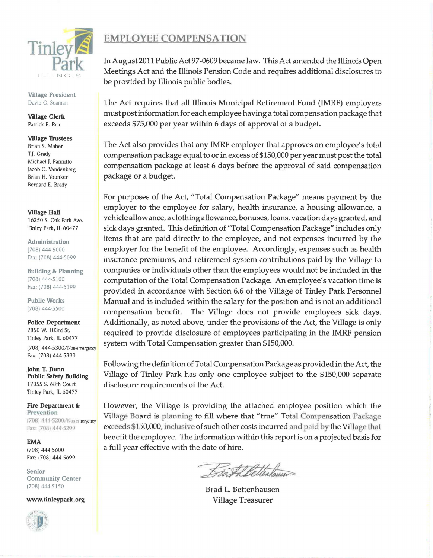

Village President David G. Seaman

Village Clerk Patrick E. Rea

## Village Trustees Brian S. Maher T.J. Grady Michael J. Pannitto Jacob C. Vandenberg Brian H. Younker Bernard E. Brady

**Village Hall** 16250 S. Oak Park Ave. Tinley Park, IL 60477

Administration (708) 444-5000 Fax: (708) 444-5099

Building & Planning (708) 444-5100 Fax: (708) 444-5199

Public Works (708) 444-5500

Police Department 7850 W. l 83rd St. Tinley Park, IL 60477

(708) 444-5300/Non-emergency Fax: [708) 444-5399

john T. Dunn Public Safety Building I 7355 S. 68th Court Tinley Park, IL 60477

Fire Department & Prevention [708) 444 5?.00/Ntm-emergency Fax: (708) 444-5299

EMA (708) 444-5600 Fax: (708) 444-5699

Senior Community Center (708) 444-5150

www.tinleypark.org



## EMPLOYEE COMPENSATION

In August 2011 Public Act 97-0609 became law. This Act amended the Illinois Open Meetings Act and the Illinois Pension Code and requires additional disclosures to be provided by Illinois public bodies.

The Act requires that all Illinois Municipal Retirement Fund (IMRF) employers must post information for each employee having a total compensation package that exceeds \$75,000 per year within 6 days of approval of a budget.

The Act also provides that any IMRF employer that approves an employee's total compensation package equal to or in excess of \$150,000 per year must post the total compensation package at least 6 days before the approval of said compensation package or a budget.

For purposes of the Act, "Total Compensation Package" means payment by the employer to the employee for salary, health insurance, a housing allowance, a vehicle allowance, a clothing allowance, bonuses, loans, vacation days granted, and sick days granted. This definition of "Total Compensation Package" includes only items that are paid directly to the employee, and not expenses incurred by the employer for the benefit of the employee. Accordingly, expenses such as health insurance premiums, and retirement system contributions paid by the Village to companies or individuals other than the employees would not be included in the computation of the Total Compensation Package. An employee's vacation time is provided in accordance with Section 6.6 of the Village of Tinley Park Personnel Manual and is included within the salary for the position and is not an additional compensation benefit. The Village does not provide employees sick days. Additionally, as noted above, under the provisions of the Act, the Village is only required to provide disclosure of employees participating in the IMRF pension system with Total Compensation greater than \$150,000.

Following the definition of Total Compensation Package as provided in the Act, the Village of Tinley Park has only one employee subject to the \$150,000 separate disclosure requirements of the Act.

However, the Village is providing the attached employee position which the Village Board is planning to fill where that "true" Total Compensation Package exceeds \$150,000, inclusive of such other costs incurred and paid by the Village that benefit the employee. The information within this report is on a projected basis for a full year effective with the date of hire.

Bast Bettenhauser

Brad L. Bettenhausen Village Treasurer